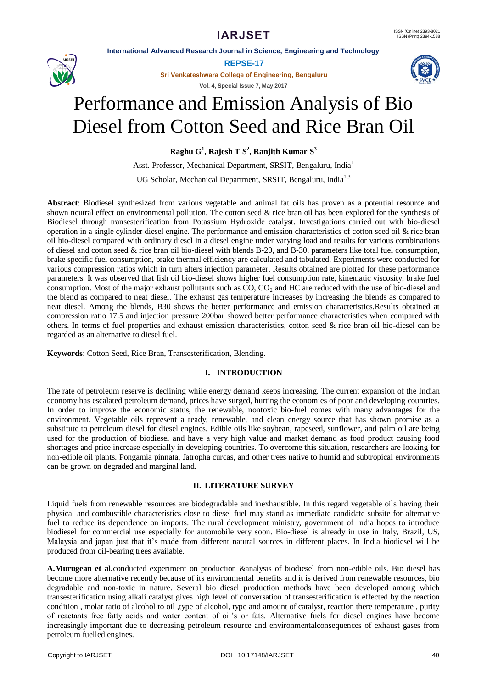**International Advanced Research Journal in Science, Engineering and Technology**

**REPSE-17**

**Sri Venkateshwara College of Engineering, Bengaluru**

**Vol. 4, Special Issue 7, May 2017**

# Performance and Emission Analysis of Bio Diesel from Cotton Seed and Rice Bran Oil

**Raghu G 1 , Rajesh T S<sup>2</sup> , Ranjith Kumar S 3**

Asst. Professor, Mechanical Department, SRSIT, Bengaluru, India<sup>1</sup>

UG Scholar, Mechanical Department, SRSIT, Bengaluru, India<sup>2,3</sup>

**Abstract**: Biodiesel synthesized from various vegetable and animal fat oils has proven as a potential resource and shown neutral effect on environmental pollution. The cotton seed  $\&$  rice bran oil has been explored for the synthesis of Biodiesel through transesterification from Potassium Hydroxide catalyst. Investigations carried out with bio-diesel operation in a single cylinder diesel engine. The performance and emission characteristics of cotton seed oil  $\&$  rice bran oil bio-diesel compared with ordinary diesel in a diesel engine under varying load and results for various combinations of diesel and cotton seed  $&$  rice bran oil bio-diesel with blends B-20, and B-30, parameters like total fuel consumption, brake specific fuel consumption, brake thermal efficiency are calculated and tabulated. Experiments were conducted for various compression ratios which in turn alters injection parameter, Results obtained are plotted for these performance parameters. It was observed that fish oil bio-diesel shows higher fuel consumption rate, kinematic viscosity, brake fuel consumption. Most of the major exhaust pollutants such as  $CO$ ,  $CO<sub>2</sub>$  and HC are reduced with the use of bio-diesel and the blend as compared to neat diesel. The exhaust gas temperature increases by increasing the blends as compared to neat diesel. Among the blends, B30 shows the better performance and emission characteristics.Results obtained at compression ratio 17.5 and injection pressure 200bar showed better performance characteristics when compared with others. In terms of fuel properties and exhaust emission characteristics, cotton seed & rice bran oil bio-diesel can be regarded as an alternative to diesel fuel.

**Keywords**: Cotton Seed, Rice Bran, Transesterification, Blending.

# **I. INTRODUCTION**

The rate of petroleum reserve is declining while energy demand keeps increasing. The current expansion of the Indian economy has escalated petroleum demand, prices have surged, hurting the economies of poor and developing countries. In order to improve the economic status, the renewable, nontoxic bio-fuel comes with many advantages for the environment. Vegetable oils represent a ready, renewable, and clean energy source that has shown promise as a substitute to petroleum diesel for diesel engines. Edible oils like soybean, rapeseed, sunflower, and palm oil are being used for the production of biodiesel and have a very high value and market demand as food product causing food shortages and price increase especially in developing countries. To overcome this situation, researchers are looking for non-edible oil plants. Pongamia pinnata, Jatropha curcas, and other trees native to humid and subtropical environments can be grown on degraded and marginal land.

### **II. LITERATURE SURVEY**

Liquid fuels from renewable resources are biodegradable and inexhaustible. In this regard vegetable oils having their physical and combustible characteristics close to diesel fuel may stand as immediate candidate subsite for alternative fuel to reduce its dependence on imports. The rural development ministry, government of India hopes to introduce biodiesel for commercial use especially for automobile very soon. Bio-diesel is already in use in Italy, Brazil, US, Malaysia and japan just that it's made from different natural sources in different places. In India biodiesel will be produced from oil-bearing trees available.

**A.Murugean et al.**conducted experiment on production &analysis of biodiesel from non-edible oils. Bio diesel has become more alternative recently because of its environmental benefits and it is derived from renewable resources, bio degradable and non-toxic in nature. Several bio diesel production methods have been developed among which transesterification using alkali catalyst gives high level of conversation of transesterification is effected by the reaction condition , molar ratio of alcohol to oil ,type of alcohol, type and amount of catalyst, reaction there temperature , purity of reactants free fatty acids and water content of oil's or fats. Alternative fuels for diesel engines have become increasingly important due to decreasing petroleum resource and environmentalconsequences of exhaust gases from petroleum fuelled engines.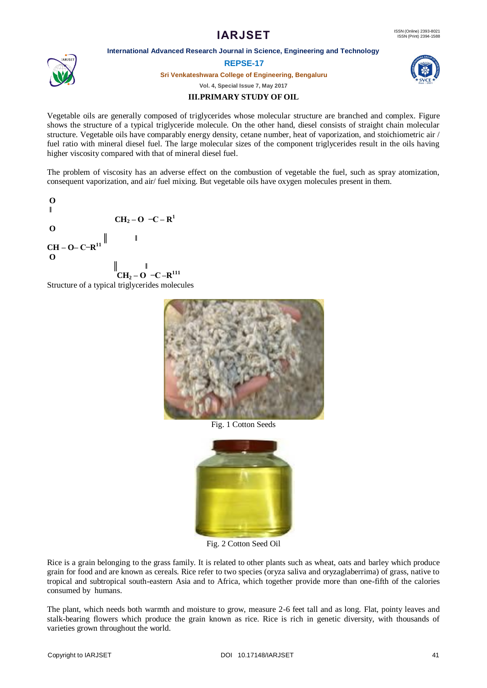#### **International Advanced Research Journal in Science, Engineering and Technology**

### **REPSE-17**

**Sri Venkateshwara College of Engineering, Bengaluru**

**Vol. 4, Special Issue 7, May 2017**

# **III.PRIMARY STUDY OF OIL**

Vegetable oils are generally composed of triglycerides whose molecular structure are branched and complex. Figure shows the structure of a typical triglyceride molecule. On the other hand, diesel consists of straight chain molecular structure. Vegetable oils have comparably energy density, cetane number, heat of vaporization, and stoichiometric air / fuel ratio with mineral diesel fuel. The large molecular sizes of the component triglycerides result in the oils having higher viscosity compared with that of mineral diesel fuel.

The problem of viscosity has an adverse effect on the combustion of vegetable the fuel, such as spray atomization, consequent vaporization, and air/ fuel mixing. But vegetable oils have oxygen molecules present in them.





Fig. 1 Cotton Seeds



Fig. 2 Cotton Seed Oil

Rice is a grain belonging to the grass family. It is related to other plants such as wheat, oats and barley which produce grain for food and are known as cereals. Rice refer to two species (oryza saliva and oryzaglaberrima) of grass, native to tropical and subtropical south-eastern Asia and to Africa, which together provide more than one-fifth of the calories consumed by humans.

The plant, which needs both warmth and moisture to grow, measure 2-6 feet tall and as long. Flat, pointy leaves and stalk-bearing flowers which produce the grain known as rice. Rice is rich in genetic diversity, with thousands of varieties grown throughout the world.

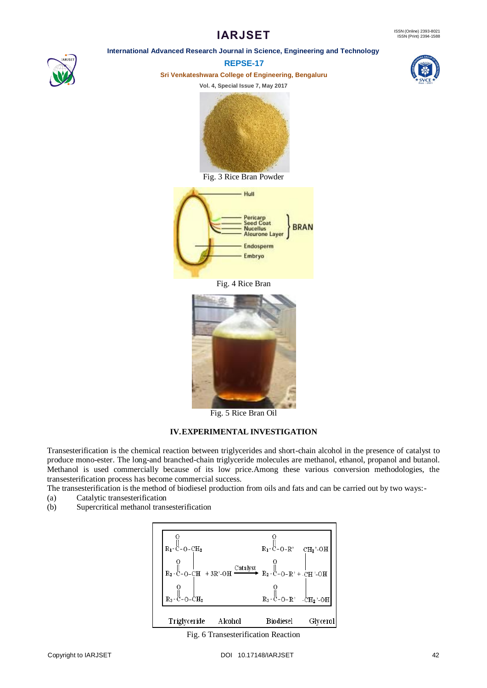## **International Advanced Research Journal in Science, Engineering and Technology**



**REPSE-17**

**Sri Venkateshwara College of Engineering, Bengaluru**

**Vol. 4, Special Issue 7, May 2017**





Fig. 3 Rice Bran Powder



Fig. 4 Rice Bran



Fig. 5 Rice Bran Oil

# **IV.EXPERIMENTAL INVESTIGATION**

Transesterification is the chemical reaction between triglycerides and short-chain alcohol in the presence of catalyst to produce mono-ester. The long-and branched-chain triglyceride molecules are methanol, ethanol, propanol and butanol. Methanol is used commercially because of its low price.Among these various conversion methodologies, the transesterification process has become commercial success.

The transesterification is the method of biodiesel production from oils and fats and can be carried out by two ways:-

- (a) Catalytic transesterification
- (b) Supercritical methanol transesterification



Fig. 6 Transesterification Reaction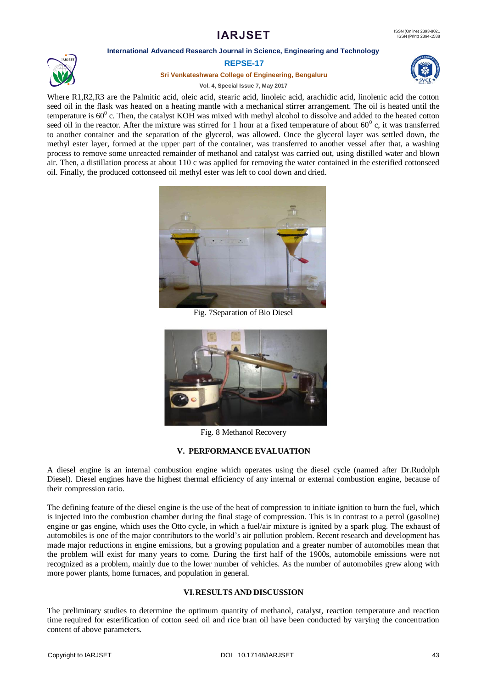#### **International Advanced Research Journal in Science, Engineering and Technology**



#### **REPSE-17**

**Sri Venkateshwara College of Engineering, Bengaluru**

**Vol. 4, Special Issue 7, May 2017**



Where R1,R2,R3 are the Palmitic acid, oleic acid, stearic acid, linoleic acid, arachidic acid, linolenic acid the cotton seed oil in the flask was heated on a heating mantle with a mechanical stirrer arrangement. The oil is heated until the temperature is  $60^{\circ}$  c. Then, the catalyst KOH was mixed with methyl alcohol to dissolve and added to the heated cotton seed oil in the reactor. After the mixture was stirred for 1 hour at a fixed temperature of about  $60^{\circ}$  c, it was transferred to another container and the separation of the glycerol, was allowed. Once the glycerol layer was settled down, the methyl ester layer, formed at the upper part of the container, was transferred to another vessel after that, a washing process to remove some unreacted remainder of methanol and catalyst was carried out, using distilled water and blown air. Then, a distillation process at about 110 c was applied for removing the water contained in the esterified cottonseed oil. Finally, the produced cottonseed oil methyl ester was left to cool down and dried.



Fig. 7Separation of Bio Diesel



Fig. 8 Methanol Recovery

### **V. PERFORMANCE EVALUATION**

A diesel engine is an internal combustion engine which operates using the diesel cycle (named after Dr.Rudolph Diesel). Diesel engines have the highest thermal efficiency of any internal or external combustion engine, because of their compression ratio.

The defining feature of the diesel engine is the use of the heat of compression to initiate ignition to burn the fuel, which is injected into the combustion chamber during the final stage of compression. This is in contrast to a petrol (gasoline) engine or gas engine, which uses the Otto cycle, in which a fuel/air mixture is ignited by a spark plug. The exhaust of automobiles is one of the major contributors to the world's air pollution problem. Recent research and development has made major reductions in engine emissions, but a growing population and a greater number of automobiles mean that the problem will exist for many years to come. During the first half of the 1900s, automobile emissions were not recognized as a problem, mainly due to the lower number of vehicles. As the number of automobiles grew along with more power plants, home furnaces, and population in general.

### **VI.RESULTS AND DISCUSSION**

The preliminary studies to determine the optimum quantity of methanol, catalyst, reaction temperature and reaction time required for esterification of cotton seed oil and rice bran oil have been conducted by varying the concentration content of above parameters.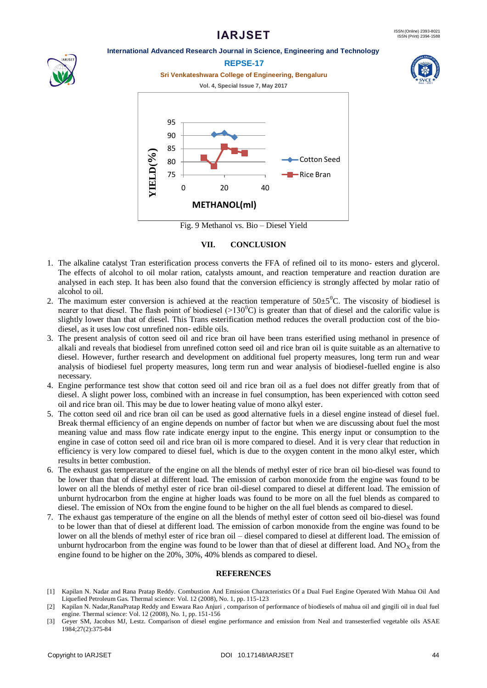#### **International Advanced Research Journal in Science, Engineering and Technology**





Fig. 9 Methanol vs. Bio – Diesel Yield

#### **VII. CONCLUSION**

- 1. The alkaline catalyst Tran esterification process converts the FFA of refined oil to its mono- esters and glycerol. The effects of alcohol to oil molar ration, catalysts amount, and reaction temperature and reaction duration are analysed in each step. It has been also found that the conversion efficiency is strongly affected by molar ratio of alcohol to oil.
- 2. The maximum ester conversion is achieved at the reaction temperature of  $50\pm5^{\circ}$ C. The viscosity of biodiesel is nearer to that diesel. The flash point of biodiesel ( $>130^{\circ}$ C) is greater than that of diesel and the calorific value is slightly lower than that of diesel. This Trans esterification method reduces the overall production cost of the biodiesel, as it uses low cost unrefined non- edible oils.
- 3. The present analysis of cotton seed oil and rice bran oil have been trans esterified using methanol in presence of alkali and reveals that biodiesel from unrefined cotton seed oil and rice bran oil is quite suitable as an alternative to diesel. However, further research and development on additional fuel property measures, long term run and wear analysis of biodiesel fuel property measures, long term run and wear analysis of biodiesel-fuelled engine is also necessary.
- 4. Engine performance test show that cotton seed oil and rice bran oil as a fuel does not differ greatly from that of diesel. A slight power loss, combined with an increase in fuel consumption, has been experienced with cotton seed oil and rice bran oil. This may be due to lower heating value of mono alkyl ester.
- 5. The cotton seed oil and rice bran oil can be used as good alternative fuels in a diesel engine instead of diesel fuel. Break thermal efficiency of an engine depends on number of factor but when we are discussing about fuel the most meaning value and mass flow rate indicate energy input to the engine. This energy input or consumption to the engine in case of cotton seed oil and rice bran oil is more compared to diesel. And it is very clear that reduction in efficiency is very low compared to diesel fuel, which is due to the oxygen content in the mono alkyl ester, which results in better combustion.
- 6. The exhaust gas temperature of the engine on all the blends of methyl ester of rice bran oil bio-diesel was found to be lower than that of diesel at different load. The emission of carbon monoxide from the engine was found to be lower on all the blends of methyl ester of rice bran oil-diesel compared to diesel at different load. The emission of unburnt hydrocarbon from the engine at higher loads was found to be more on all the fuel blends as compared to diesel. The emission of NOx from the engine found to be higher on the all fuel blends as compared to diesel.
- 7. The exhaust gas temperature of the engine on all the blends of methyl ester of cotton seed oil bio-diesel was found to be lower than that of diesel at different load. The emission of carbon monoxide from the engine was found to be lower on all the blends of methyl ester of rice bran oil – diesel compared to diesel at different load. The emission of unburnt hydrocarbon from the engine was found to be lower than that of diesel at different load. And  $NO<sub>X</sub>$  from the engine found to be higher on the 20%, 30%, 40% blends as compared to diesel.

#### **REFERENCES**

- [1] Kapilan N. Nadar and Rana Pratap Reddy. Combustion And Emission Characteristics Of a Dual Fuel Engine Operated With Mahua Oil And Liquefied Petroleum Gas. Thermal science: Vol. 12 (2008), No. 1, pp. 115-123
- [2] Kapilan N. Nadar,RanaPratap Reddy and Eswara Rao Anjuri , comparison of performance of biodiesels of mahua oil and gingili oil in dual fuel engine. Thermal science: Vol. 12 (2008), No. 1, pp. 151-156
- [3] Geyer SM, Jacobus MJ, Lestz. Comparison of diesel engine performance and emission from Neal and transesterfied vegetable oils ASAE 1984;27(2):375-84